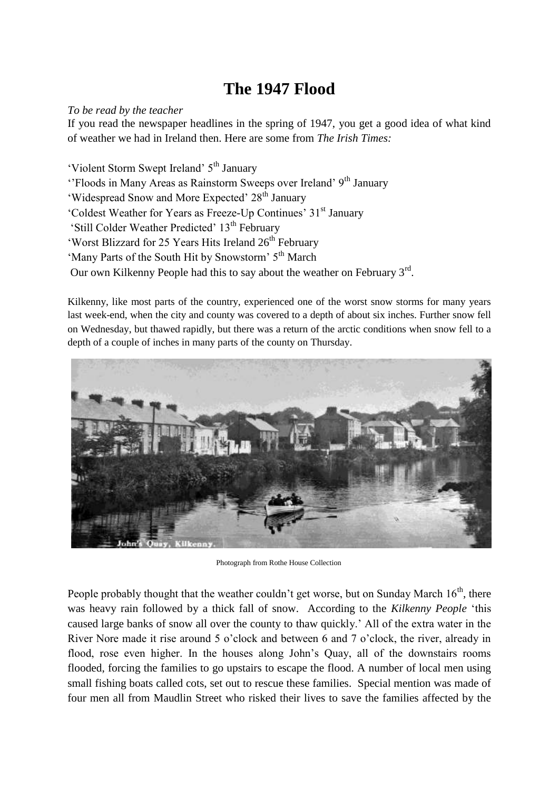## **The 1947 Flood**

## *To be read by the teacher*

If you read the newspaper headlines in the spring of 1947, you get a good idea of what kind of weather we had in Ireland then. Here are some from *The Irish Times:*

'Violent Storm Swept Ireland' 5th January ''Floods in Many Areas as Rainstorm Sweeps over Ireland' 9<sup>th</sup> January 'Widespread Snow and More Expected' 28<sup>th</sup> January 'Coldest Weather for Years as Freeze-Up Continues' 31st January

'Still Colder Weather Predicted'  $13<sup>th</sup>$  February

'Worst Blizzard for 25 Years Hits Ireland 26<sup>th</sup> February

'Many Parts of the South Hit by Snowstorm' 5<sup>th</sup> March

Our own Kilkenny People had this to say about the weather on February  $3<sup>rd</sup>$ .

Kilkenny, like most parts of the country, experienced one of the worst snow storms for many years last week-end, when the city and county was covered to a depth of about six inches. Further snow fell on Wednesday, but thawed rapidly, but there was a return of the arctic conditions when snow fell to a depth of a couple of inches in many parts of the county on Thursday.



Photograph from Rothe House Collection

People probably thought that the weather couldn't get worse, but on Sunday March  $16<sup>th</sup>$ , there was heavy rain followed by a thick fall of snow. According to the *Kilkenny People* 'this caused large banks of snow all over the county to thaw quickly.' All of the extra water in the River Nore made it rise around 5 o'clock and between 6 and 7 o'clock, the river, already in flood, rose even higher. In the houses along John's Quay, all of the downstairs rooms flooded, forcing the families to go upstairs to escape the flood. A number of local men using small fishing boats called cots, set out to rescue these families. Special mention was made of four men all from Maudlin Street who risked their lives to save the families affected by the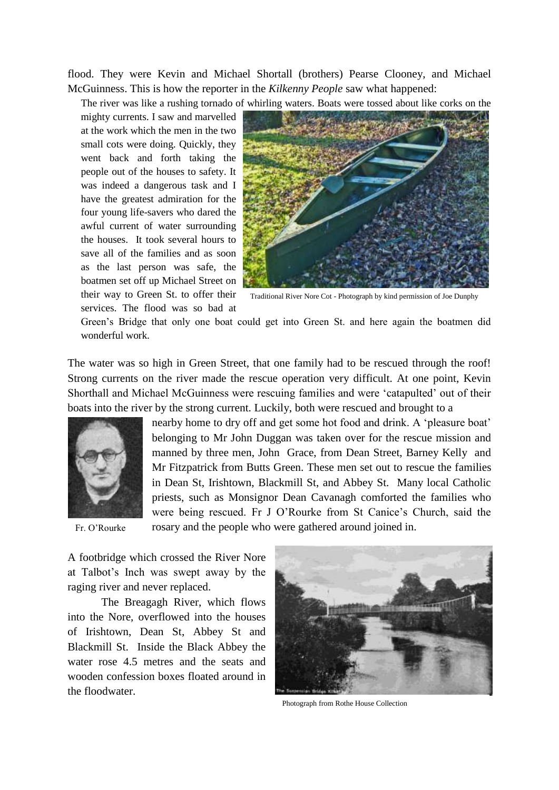flood. They were Kevin and Michael Shortall (brothers) Pearse Clooney, and Michael McGuinness. This is how the reporter in the *Kilkenny People* saw what happened:

The river was like a rushing tornado of whirling waters. Boats were tossed about like corks on the

mighty currents. I saw and marvelled at the work which the men in the two small cots were doing. Quickly, they went back and forth taking the people out of the houses to safety. It was indeed a dangerous task and I have the greatest admiration for the four young life-savers who dared the awful current of water surrounding the houses. It took several hours to save all of the families and as soon as the last person was safe, the boatmen set off up Michael Street on their way to Green St. to offer their services. The flood was so bad at



Traditional River Nore Cot - Photograph by kind permission of Joe Dunphy

Green's Bridge that only one boat could get into Green St. and here again the boatmen did wonderful work.

The water was so high in Green Street, that one family had to be rescued through the roof! Strong currents on the river made the rescue operation very difficult. At one point, Kevin Shorthall and Michael McGuinness were rescuing families and were 'catapulted' out of their boats into the river by the strong current. Luckily, both were rescued and brought to a



Fr. O'Rourke

nearby home to dry off and get some hot food and drink. A 'pleasure boat' belonging to Mr John Duggan was taken over for the rescue mission and manned by three men, John Grace, from Dean Street, Barney Kelly and Mr Fitzpatrick from Butts Green. These men set out to rescue the families in Dean St, Irishtown, Blackmill St, and Abbey St. Many local Catholic priests, such as Monsignor Dean Cavanagh comforted the families who were being rescued. Fr J O'Rourke from St Canice's Church, said the rosary and the people who were gathered around joined in.

A footbridge which crossed the River Nore at Talbot's Inch was swept away by the raging river and never replaced.

The Breagagh River, which flows into the Nore, overflowed into the houses of Irishtown, Dean St, Abbey St and Blackmill St. Inside the Black Abbey the water rose 4.5 metres and the seats and wooden confession boxes floated around in the floodwater.



Photograph from Rothe House Collection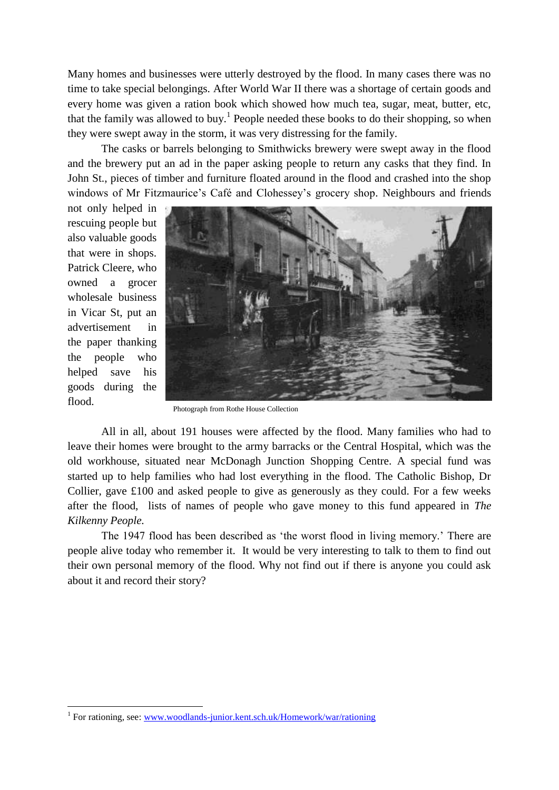Many homes and businesses were utterly destroyed by the flood. In many cases there was no time to take special belongings. After World War II there was a shortage of certain goods and every home was given a ration book which showed how much tea, sugar, meat, butter, etc, that the family was allowed to buy.<sup>1</sup> People needed these books to do their shopping, so when they were swept away in the storm, it was very distressing for the family.

The casks or barrels belonging to Smithwicks brewery were swept away in the flood and the brewery put an ad in the paper asking people to return any casks that they find. In John St., pieces of timber and furniture floated around in the flood and crashed into the shop windows of Mr Fitzmaurice's Café and Clohessey's grocery shop. Neighbours and friends

not only helped in rescuing people but also valuable goods that were in shops. Patrick Cleere, who owned a grocer wholesale business in Vicar St, put an advertisement in the paper thanking the people who helped save his goods during the flood.

1



Photograph from Rothe House Collection

All in all, about 191 houses were affected by the flood. Many families who had to leave their homes were brought to the army barracks or the Central Hospital, which was the old workhouse, situated near McDonagh Junction Shopping Centre. A special fund was started up to help families who had lost everything in the flood. The Catholic Bishop, Dr Collier, gave £100 and asked people to give as generously as they could. For a few weeks after the flood, lists of names of people who gave money to this fund appeared in *The Kilkenny People.*

The 1947 flood has been described as 'the worst flood in living memory.' There are people alive today who remember it. It would be very interesting to talk to them to find out their own personal memory of the flood. Why not find out if there is anyone you could ask about it and record their story?

<sup>&</sup>lt;sup>1</sup> For rationing, see: [www.woodlands-junior.kent.sch.uk/Homework/war/rationing](http://www.woodlands-junior.kent.sch.uk/Homework/war/rationing)